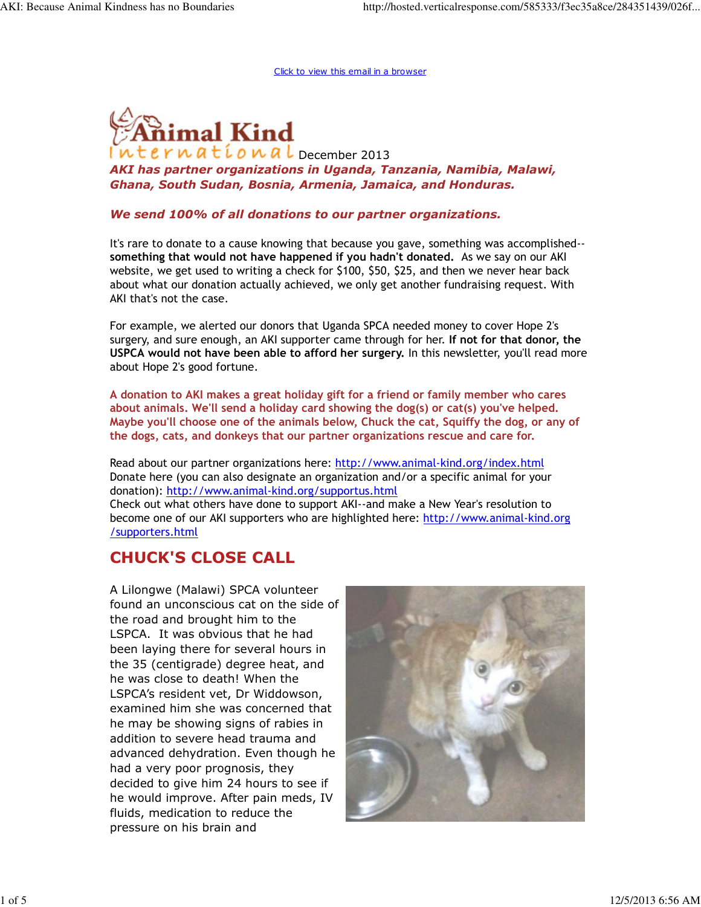Click to view this email in a browser



 $erw$ atíonal December 2013 AKI has partner organizations in Uganda, Tanzania, Namibia, Malawi, Ghana, South Sudan, Bosnia, Armenia, Jamaica, and Honduras.

#### We send 100% of all donations to our partner organizations.

It's rare to donate to a cause knowing that because you gave, something was accomplished- something that would not have happened if you hadn't donated. As we say on our AKI website, we get used to writing a check for \$100, \$50, \$25, and then we never hear back about what our donation actually achieved, we only get another fundraising request. With AKI that's not the case.

For example, we alerted our donors that Uganda SPCA needed money to cover Hope 2's surgery, and sure enough, an AKI supporter came through for her. If not for that donor, the USPCA would not have been able to afford her surgery. In this newsletter, you'll read more about Hope 2's good fortune.

A donation to AKI makes a great holiday gift for a friend or family member who cares about animals. We'll send a holiday card showing the dog(s) or cat(s) you've helped. Maybe you'll choose one of the animals below, Chuck the cat, Squiffy the dog, or any of the dogs, cats, and donkeys that our partner organizations rescue and care for.

Read about our partner organizations here: http://www.animal-kind.org/index.html Donate here (you can also designate an organization and/or a specific animal for your donation): http://www.animal-kind.org/supportus.html

Check out what others have done to support AKI--and make a New Year's resolution to become one of our AKI supporters who are highlighted here: http://www.animal-kind.org /supporters.html

# CHUCK'S CLOSE CALL

A Lilongwe (Malawi) SPCA volunteer found an unconscious cat on the side of the road and brought him to the LSPCA. It was obvious that he had been laying there for several hours in the 35 (centigrade) degree heat, and he was close to death! When the LSPCA's resident vet, Dr Widdowson, examined him she was concerned that he may be showing signs of rabies in addition to severe head trauma and advanced dehydration. Even though he had a very poor prognosis, they decided to give him 24 hours to see if he would improve. After pain meds, IV fluids, medication to reduce the pressure on his brain and

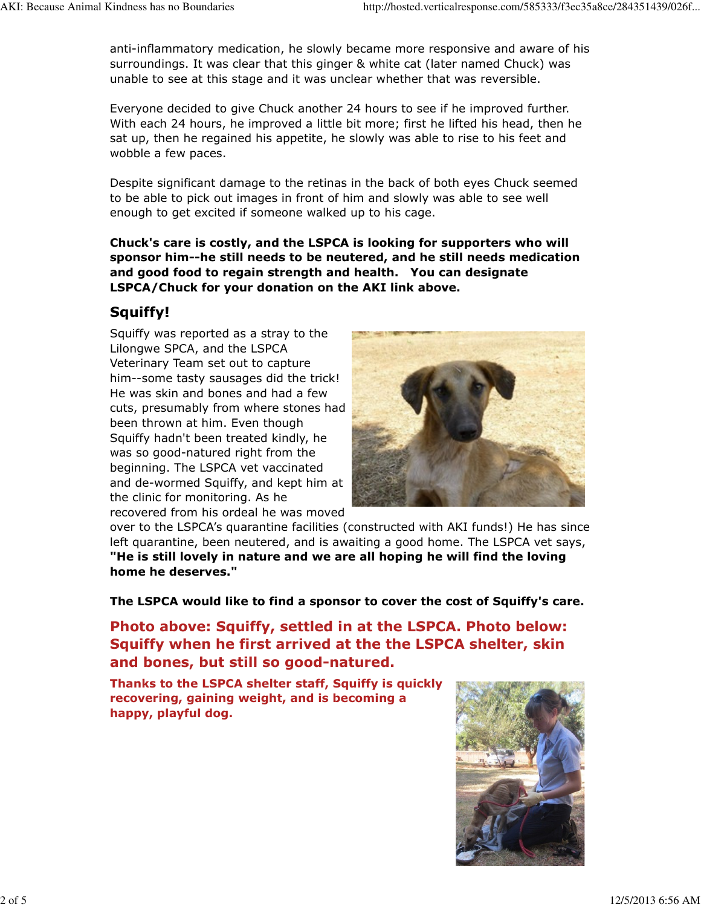anti-inflammatory medication, he slowly became more responsive and aware of his surroundings. It was clear that this ginger & white cat (later named Chuck) was unable to see at this stage and it was unclear whether that was reversible.

Everyone decided to give Chuck another 24 hours to see if he improved further. With each 24 hours, he improved a little bit more; first he lifted his head, then he sat up, then he regained his appetite, he slowly was able to rise to his feet and wobble a few paces.

Despite significant damage to the retinas in the back of both eyes Chuck seemed to be able to pick out images in front of him and slowly was able to see well enough to get excited if someone walked up to his cage.

Chuck's care is costly, and the LSPCA is looking for supporters who will sponsor him--he still needs to be neutered, and he still needs medication and good food to regain strength and health. You can designate LSPCA/Chuck for your donation on the AKI link above.

## Squiffy!

Squiffy was reported as a stray to the Lilongwe SPCA, and the LSPCA Veterinary Team set out to capture him--some tasty sausages did the trick! He was skin and bones and had a few cuts, presumably from where stones had been thrown at him. Even though Squiffy hadn't been treated kindly, he was so good-natured right from the beginning. The LSPCA vet vaccinated and de-wormed Squiffy, and kept him at the clinic for monitoring. As he recovered from his ordeal he was moved



over to the LSPCA's quarantine facilities (constructed with AKI funds!) He has since left quarantine, been neutered, and is awaiting a good home. The LSPCA vet says, "He is still lovely in nature and we are all hoping he will find the loving home he deserves."

The LSPCA would like to find a sponsor to cover the cost of Squiffy's care.

Photo above: Squiffy, settled in at the LSPCA. Photo below: Squiffy when he first arrived at the the LSPCA shelter, skin and bones, but still so good-natured.

Thanks to the LSPCA shelter staff, Squiffy is quickly recovering, gaining weight, and is becoming a happy, playful dog.

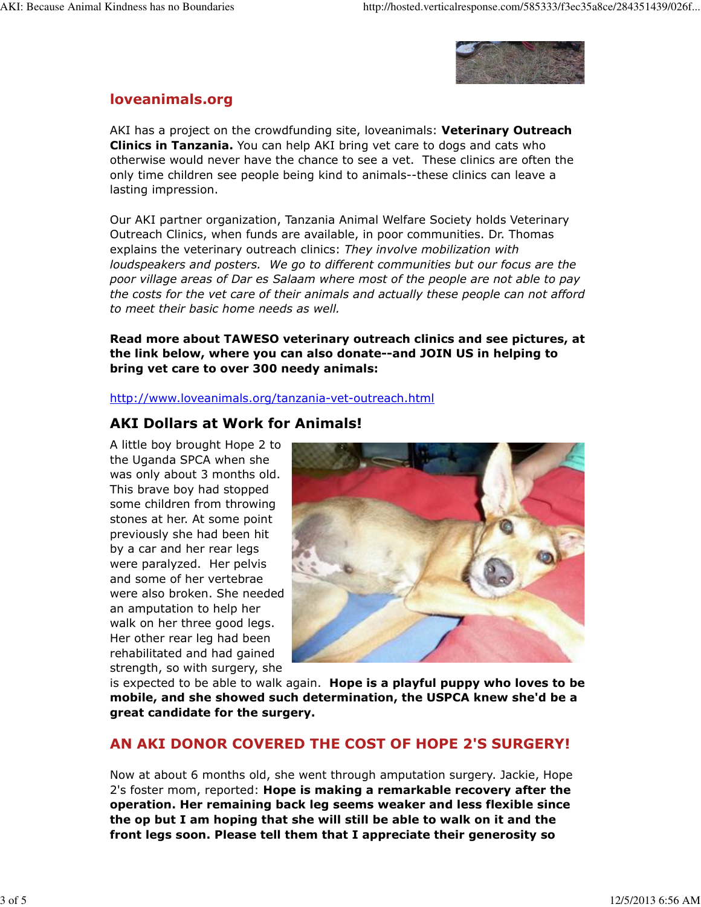

### loveanimals.org

AKI has a project on the crowdfunding site, loveanimals: Veterinary Outreach **Clinics in Tanzania.** You can help AKI bring vet care to dogs and cats who otherwise would never have the chance to see a vet. These clinics are often the only time children see people being kind to animals--these clinics can leave a lasting impression.

Our AKI partner organization, Tanzania Animal Welfare Society holds Veterinary Outreach Clinics, when funds are available, in poor communities. Dr. Thomas explains the veterinary outreach clinics: They involve mobilization with loudspeakers and posters. We go to different communities but our focus are the poor village areas of Dar es Salaam where most of the people are not able to pay the costs for the vet care of their animals and actually these people can not afford to meet their basic home needs as well.

Read more about TAWESO veterinary outreach clinics and see pictures, at the link below, where you can also donate--and JOIN US in helping to bring vet care to over 300 needy animals:

http://www.loveanimals.org/tanzania-vet-outreach.html

### AKI Dollars at Work for Animals!

A little boy brought Hope 2 to the Uganda SPCA when she was only about 3 months old. This brave boy had stopped some children from throwing stones at her. At some point previously she had been hit by a car and her rear legs were paralyzed. Her pelvis and some of her vertebrae were also broken. She needed an amputation to help her walk on her three good legs. Her other rear leg had been rehabilitated and had gained strength, so with surgery, she



is expected to be able to walk again. Hope is a playful puppy who loves to be mobile, and she showed such determination, the USPCA knew she'd be a great candidate for the surgery.

### AN AKI DONOR COVERED THE COST OF HOPE 2'S SURGERY!

Now at about 6 months old, she went through amputation surgery. Jackie, Hope 2's foster mom, reported: Hope is making a remarkable recovery after the operation. Her remaining back leg seems weaker and less flexible since the op but I am hoping that she will still be able to walk on it and the front legs soon. Please tell them that I appreciate their generosity so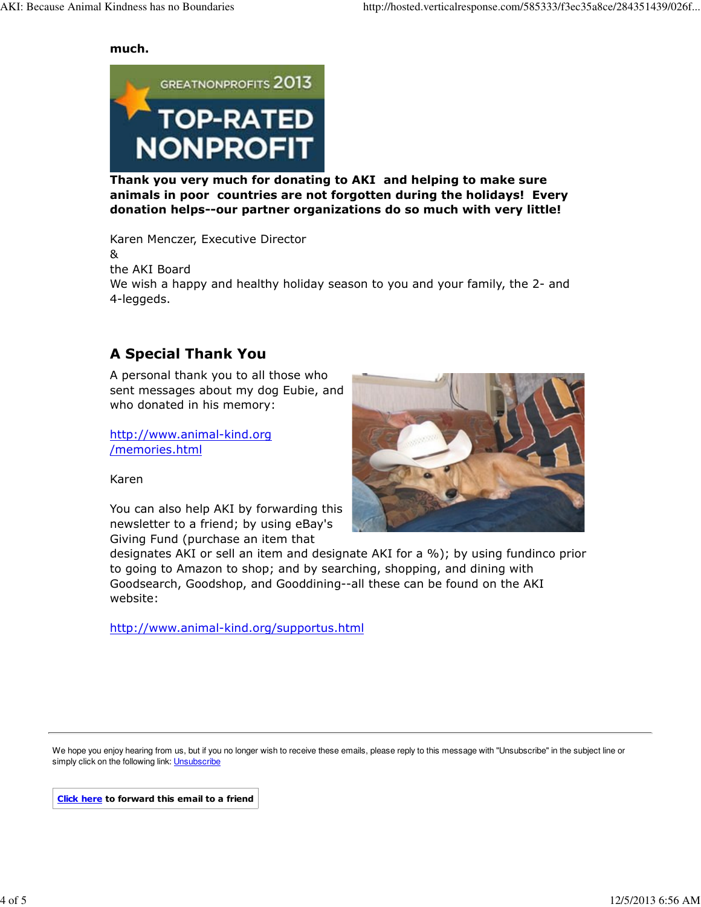much.



Thank you very much for donating to AKI and helping to make sure animals in poor countries are not forgotten during the holidays! Every donation helps--our partner organizations do so much with very little!

Karen Menczer, Executive Director & the AKI Board We wish a happy and healthy holiday season to you and your family, the 2- and 4-leggeds.

# A Special Thank You

A personal thank you to all those who sent messages about my dog Eubie, and who donated in his memory:

http://www.animal-kind.org /memories.html



Karen

You can also help AKI by forwarding this newsletter to a friend; by using eBay's Giving Fund (purchase an item that

designates AKI or sell an item and designate AKI for a %); by using fundinco prior to going to Amazon to shop; and by searching, shopping, and dining with Goodsearch, Goodshop, and Gooddining--all these can be found on the AKI website:

http://www.animal-kind.org/supportus.html

We hope you enjoy hearing from us, but if you no longer wish to receive these emails, please reply to this message with "Unsubscribe" in the subject line or simply click on the following link: **Unsubscribe** 

Click here to forward this email to a friend